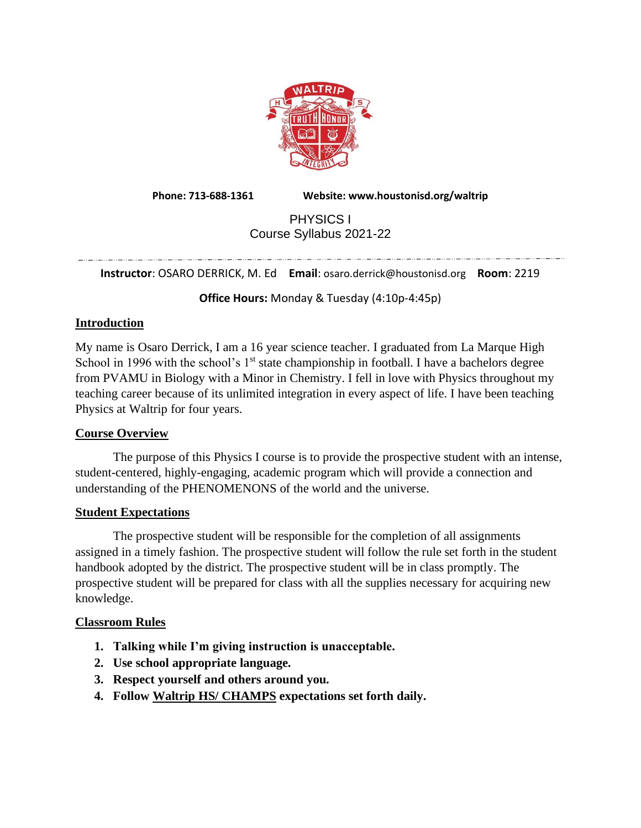

**Phone: 713-688-1361 Website: www.houstonisd.org/waltrip**

# PHYSICS I Course Syllabus 2021-22

**Instructor**: OSARO DERRICK, M. Ed **Email**: osaro.derrick@houstonisd.org **Room**: 2219

**Office Hours:** Monday & Tuesday (4:10p-4:45p)

## **Introduction**

My name is Osaro Derrick, I am a 16 year science teacher. I graduated from La Marque High School in 1996 with the school's  $1<sup>st</sup>$  state championship in football. I have a bachelors degree from PVAMU in Biology with a Minor in Chemistry. I fell in love with Physics throughout my teaching career because of its unlimited integration in every aspect of life. I have been teaching Physics at Waltrip for four years.

## **Course Overview**

The purpose of this Physics I course is to provide the prospective student with an intense, student-centered, highly-engaging, academic program which will provide a connection and understanding of the PHENOMENONS of the world and the universe.

## **Student Expectations**

The prospective student will be responsible for the completion of all assignments assigned in a timely fashion. The prospective student will follow the rule set forth in the student handbook adopted by the district. The prospective student will be in class promptly. The prospective student will be prepared for class with all the supplies necessary for acquiring new knowledge.

## **Classroom Rules**

- **1. Talking while I'm giving instruction is unacceptable.**
- **2. Use school appropriate language.**
- **3. Respect yourself and others around you.**
- **4. Follow Waltrip HS/ CHAMPS expectations set forth daily.**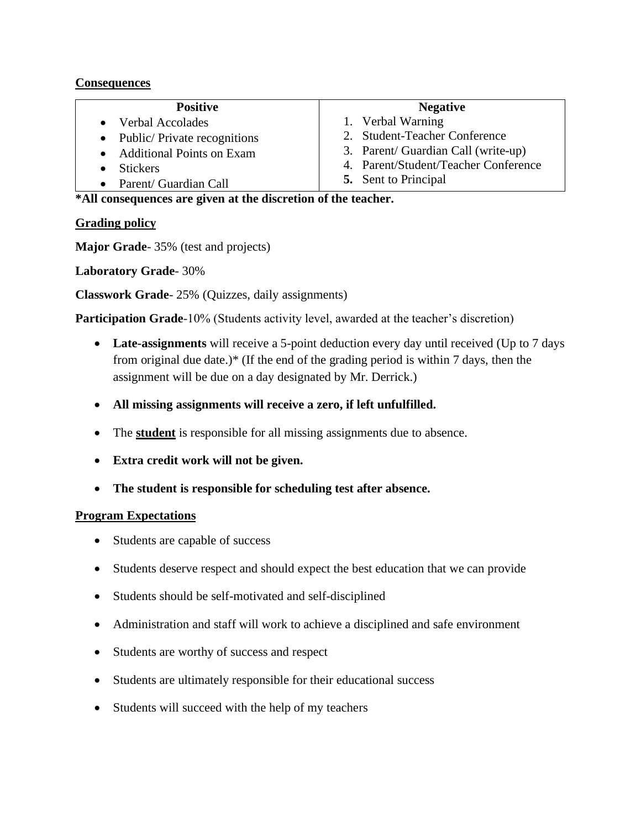## **Consequences**

## **Positive**

- Verbal Accolades
- Public/Private recognitions
- Additional Points on Exam
- Stickers
- Parent/ Guardian Call

### **Negative**

- 1. Verbal Warning
- 2. Student-Teacher Conference
- 3. Parent/ Guardian Call (write-up)
- 4. Parent/Student/Teacher Conference
- **5.** Sent to Principal

**\*All consequences are given at the discretion of the teacher.**

## **Grading policy**

**Major Grade**- 35% (test and projects)

**Laboratory Grade**- 30%

**Classwork Grade**- 25% (Quizzes, daily assignments)

**Participation Grade**-10% (Students activity level, awarded at the teacher's discretion)

- Late-assignments will receive a 5-point deduction every day until received (Up to 7 days from original due date.)\* (If the end of the grading period is within 7 days, then the assignment will be due on a day designated by Mr. Derrick.)
- **All missing assignments will receive a zero, if left unfulfilled.**
- The **student** is responsible for all missing assignments due to absence.
- **Extra credit work will not be given.**
- **The student is responsible for scheduling test after absence.**

# **Program Expectations**

- Students are capable of success
- Students deserve respect and should expect the best education that we can provide
- Students should be self-motivated and self-disciplined
- Administration and staff will work to achieve a disciplined and safe environment
- Students are worthy of success and respect
- Students are ultimately responsible for their educational success
- Students will succeed with the help of my teachers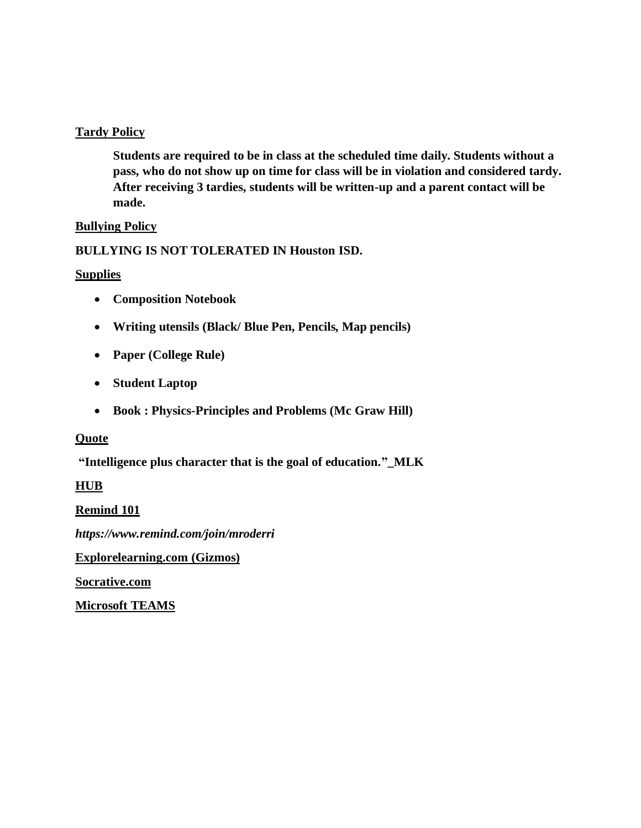### **Tardy Policy**

**Students are required to be in class at the scheduled time daily. Students without a pass, who do not show up on time for class will be in violation and considered tardy. After receiving 3 tardies, students will be written-up and a parent contact will be made.** 

### **Bullying Policy**

## **BULLYING IS NOT TOLERATED IN Houston ISD.**

### **Supplies**

- **Composition Notebook**
- **Writing utensils (Black/ Blue Pen, Pencils, Map pencils)**
- **Paper (College Rule)**
- **Student Laptop**
- **Book : Physics-Principles and Problems (Mc Graw Hill)**

### **Quote**

**"Intelligence plus character that is the goal of education."\_MLK**

## **HUB**

## **Remind 101**

*https://www.remind.com/join/mroderri*

**Explorelearning.com (Gizmos)**

**Socrative.com**

**Microsoft TEAMS**